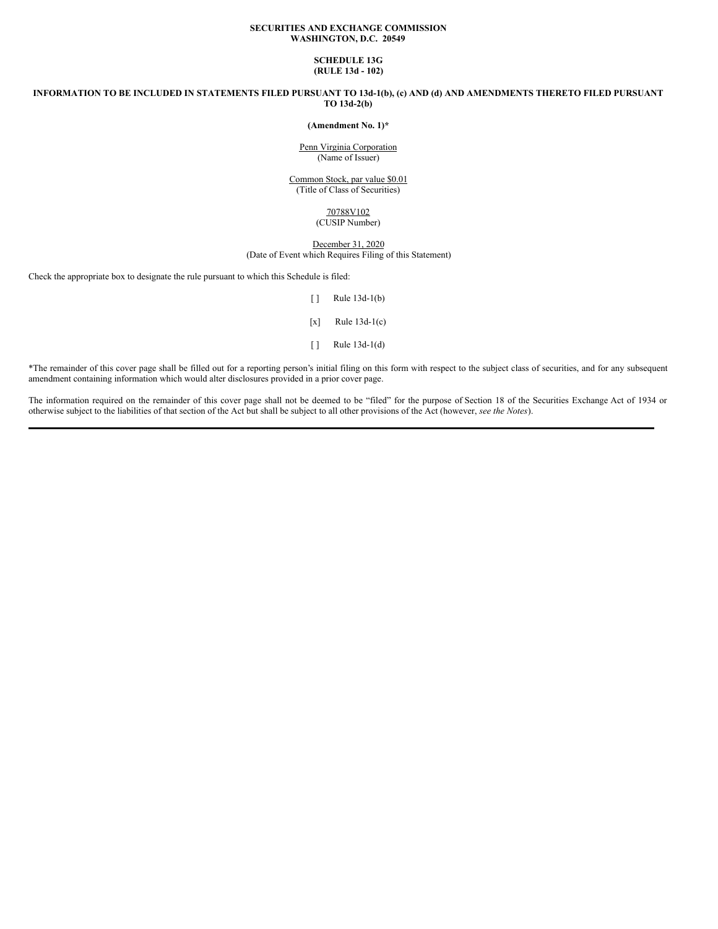## **SECURITIES AND EXCHANGE COMMISSION WASHINGTON, D.C. 20549**

## **SCHEDULE 13G (RULE 13d - 102)**

INFORMATION TO BE INCLUDED IN STATEMENTS FILED PURSUANT TO 13d-1(b), (c) AND (d) AND AMENDMENTS THERETO FILED PURSUANT **TO 13d-2(b)**

# **(Amendment No. 1)\***

Penn Virginia Corporation (Name of Issuer)

Common Stock, par value \$0.01 (Title of Class of Securities)

## 70788V102 (CUSIP Number)

### December 31, 2020 (Date of Event which Requires Filing of this Statement)

Check the appropriate box to designate the rule pursuant to which this Schedule is filed:

- [ ] Rule 13d-1(b)
- $[x]$  Rule 13d-1(c)
- [ ] Rule 13d-1(d)

\*The remainder of this cover page shall be filled out for a reporting person's initial filing on this form with respect to the subject class of securities, and for any subsequent amendment containing information which would alter disclosures provided in a prior cover page.

The information required on the remainder of this cover page shall not be deemed to be "filed" for the purpose of Section 18 of the Securities Exchange Act of 1934 or otherwise subject to the liabilities of that section of the Act but shall be subject to all other provisions of the Act (however, *see the Notes*).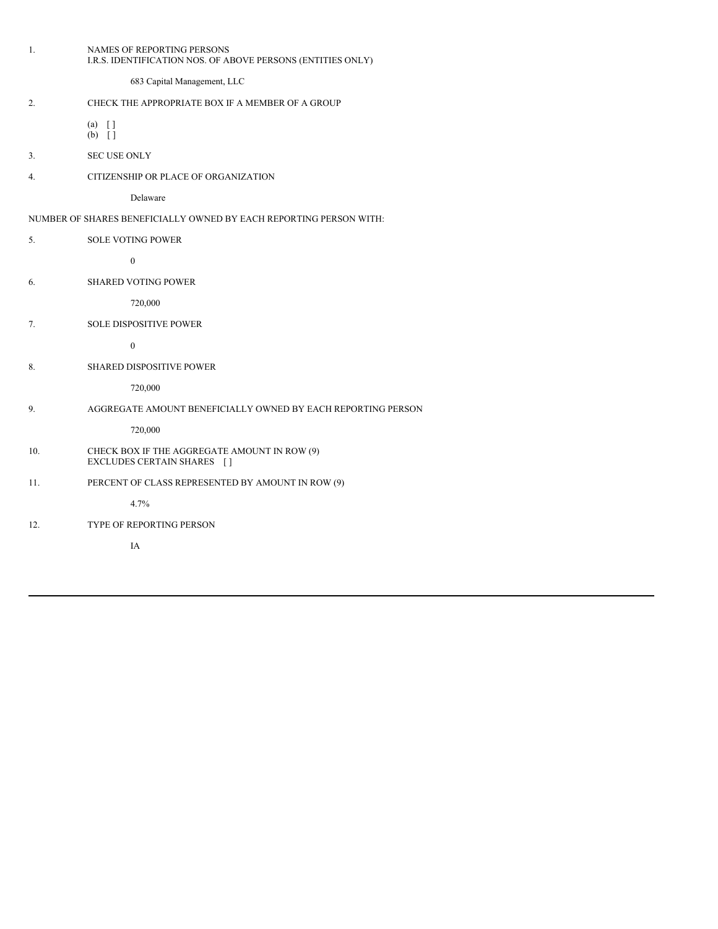| 1.  | NAMES OF REPORTING PERSONS<br>I.R.S. IDENTIFICATION NOS. OF ABOVE PERSONS (ENTITIES ONLY) |
|-----|-------------------------------------------------------------------------------------------|
|     | 683 Capital Management, LLC                                                               |
| 2.  | CHECK THE APPROPRIATE BOX IF A MEMBER OF A GROUP                                          |
|     | $(a)$ []<br>$(b)$ []                                                                      |
| 3.  | <b>SEC USE ONLY</b>                                                                       |
| 4.  | CITIZENSHIP OR PLACE OF ORGANIZATION                                                      |
|     | Delaware                                                                                  |
|     | NUMBER OF SHARES BENEFICIALLY OWNED BY EACH REPORTING PERSON WITH:                        |
| 5.  | <b>SOLE VOTING POWER</b>                                                                  |
|     | $\boldsymbol{0}$                                                                          |
| 6.  | <b>SHARED VOTING POWER</b>                                                                |
|     | 720,000                                                                                   |
| 7.  | <b>SOLE DISPOSITIVE POWER</b>                                                             |
|     | $\boldsymbol{0}$                                                                          |
| 8.  | SHARED DISPOSITIVE POWER                                                                  |
|     | 720,000                                                                                   |
| 9.  | AGGREGATE AMOUNT BENEFICIALLY OWNED BY EACH REPORTING PERSON                              |
|     | 720,000                                                                                   |
| 10. | CHECK BOX IF THE AGGREGATE AMOUNT IN ROW (9)<br>EXCLUDES CERTAIN SHARES []                |
| 11. | PERCENT OF CLASS REPRESENTED BY AMOUNT IN ROW (9)                                         |
|     | 4.7%                                                                                      |
| 12. | TYPE OF REPORTING PERSON                                                                  |
|     | IA                                                                                        |
|     |                                                                                           |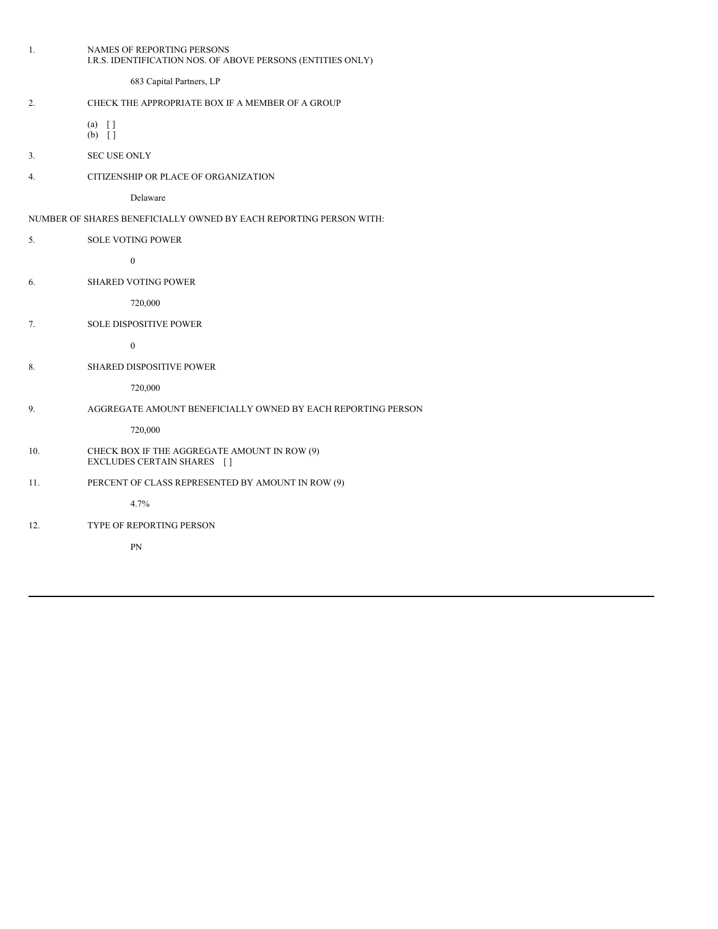| 1.  | NAMES OF REPORTING PERSONS<br>I.R.S. IDENTIFICATION NOS. OF ABOVE PERSONS (ENTITIES ONLY) |
|-----|-------------------------------------------------------------------------------------------|
|     | 683 Capital Partners, LP                                                                  |
| 2.  | CHECK THE APPROPRIATE BOX IF A MEMBER OF A GROUP                                          |
|     | $(a) \quad \lceil \rceil$<br>$(b)$ []                                                     |
| 3.  | <b>SEC USE ONLY</b>                                                                       |
| 4.  | CITIZENSHIP OR PLACE OF ORGANIZATION                                                      |
|     | Delaware                                                                                  |
|     | NUMBER OF SHARES BENEFICIALLY OWNED BY EACH REPORTING PERSON WITH:                        |
| 5.  | <b>SOLE VOTING POWER</b>                                                                  |
|     | $\boldsymbol{0}$                                                                          |
| 6.  | <b>SHARED VOTING POWER</b>                                                                |
|     | 720,000                                                                                   |
| 7.  | <b>SOLE DISPOSITIVE POWER</b>                                                             |
|     | $\boldsymbol{0}$                                                                          |
| 8.  | <b>SHARED DISPOSITIVE POWER</b>                                                           |
|     | 720,000                                                                                   |
| 9.  | AGGREGATE AMOUNT BENEFICIALLY OWNED BY EACH REPORTING PERSON                              |
|     | 720,000                                                                                   |
| 10. | CHECK BOX IF THE AGGREGATE AMOUNT IN ROW (9)<br>EXCLUDES CERTAIN SHARES []                |
| 11. | PERCENT OF CLASS REPRESENTED BY AMOUNT IN ROW (9)                                         |
|     | 4.7%                                                                                      |
| 12. | TYPE OF REPORTING PERSON                                                                  |
|     | PN                                                                                        |
|     |                                                                                           |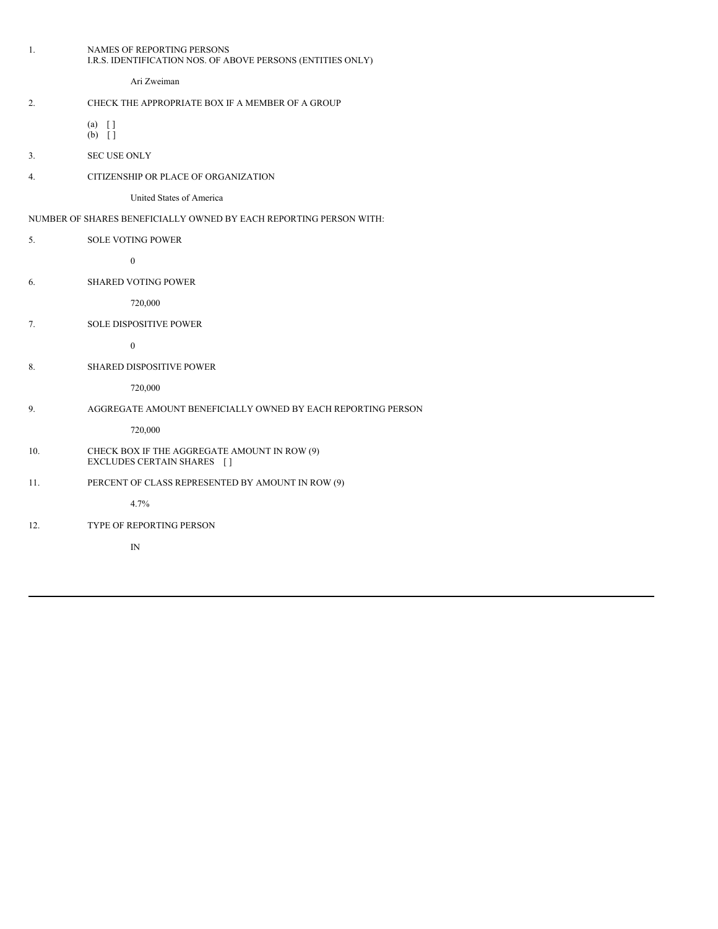|                                                                    | 1.  | NAMES OF REPORTING PERSONS<br>I.R.S. IDENTIFICATION NOS. OF ABOVE PERSONS (ENTITIES ONLY) |  |  |
|--------------------------------------------------------------------|-----|-------------------------------------------------------------------------------------------|--|--|
|                                                                    |     | Ari Zweiman                                                                               |  |  |
|                                                                    | 2.  | CHECK THE APPROPRIATE BOX IF A MEMBER OF A GROUP                                          |  |  |
|                                                                    |     | $(a) \quad \lceil \rceil$<br>$(b)$ []                                                     |  |  |
|                                                                    | 3.  | <b>SEC USE ONLY</b>                                                                       |  |  |
|                                                                    | 4.  | CITIZENSHIP OR PLACE OF ORGANIZATION                                                      |  |  |
|                                                                    |     | United States of America                                                                  |  |  |
| NUMBER OF SHARES BENEFICIALLY OWNED BY EACH REPORTING PERSON WITH: |     |                                                                                           |  |  |
|                                                                    | 5.  | <b>SOLE VOTING POWER</b>                                                                  |  |  |
|                                                                    |     | $\boldsymbol{0}$                                                                          |  |  |
|                                                                    | 6.  | <b>SHARED VOTING POWER</b>                                                                |  |  |
|                                                                    |     | 720,000                                                                                   |  |  |
|                                                                    | 7.  | <b>SOLE DISPOSITIVE POWER</b>                                                             |  |  |
|                                                                    |     | $\boldsymbol{0}$                                                                          |  |  |
|                                                                    | 8.  | SHARED DISPOSITIVE POWER                                                                  |  |  |
|                                                                    |     | 720,000                                                                                   |  |  |
|                                                                    | 9.  | AGGREGATE AMOUNT BENEFICIALLY OWNED BY EACH REPORTING PERSON                              |  |  |
|                                                                    |     | 720,000                                                                                   |  |  |
|                                                                    | 10. | CHECK BOX IF THE AGGREGATE AMOUNT IN ROW (9)<br>EXCLUDES CERTAIN SHARES []                |  |  |
|                                                                    | 11. | PERCENT OF CLASS REPRESENTED BY AMOUNT IN ROW (9)                                         |  |  |
|                                                                    |     | 4.7%                                                                                      |  |  |
|                                                                    | 12. | TYPE OF REPORTING PERSON                                                                  |  |  |
|                                                                    |     | IN                                                                                        |  |  |
|                                                                    |     |                                                                                           |  |  |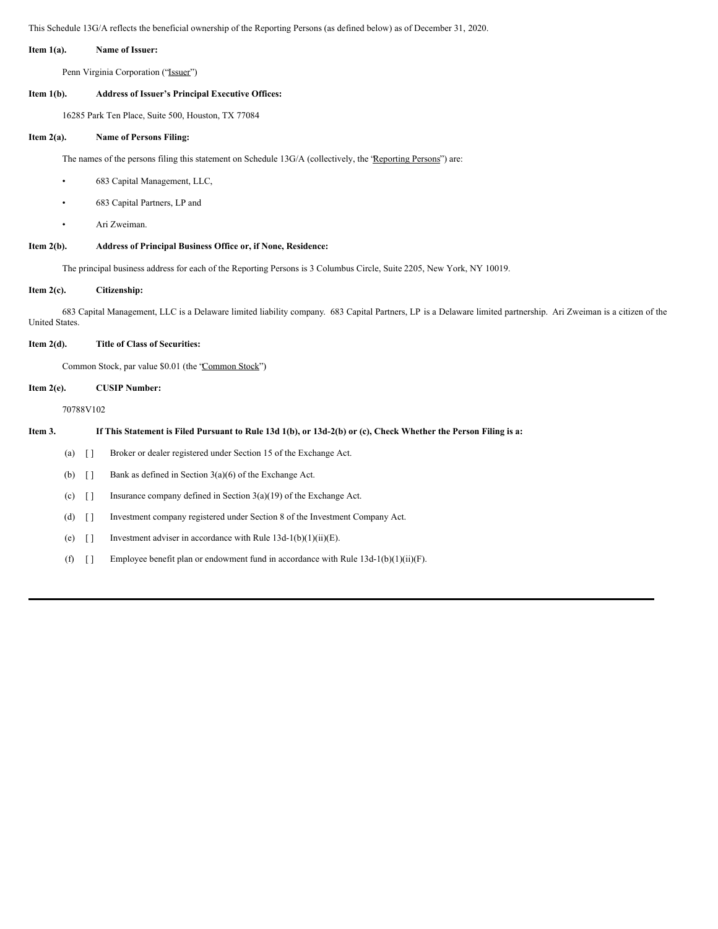This Schedule 13G/A reflects the beneficial ownership of the Reporting Persons (as defined below) as of December 31, 2020.

#### **Item 1(a). Name of Issuer:**

Penn Virginia Corporation ('Issuer'')

### **Item 1(b). Address of Issuer's Principal Executive Offices:**

16285 Park Ten Place, Suite 500, Houston, TX 77084

## **Item 2(a). Name of Persons Filing:**

The names of the persons filing this statement on Schedule 13G/A (collectively, the 'Reporting Persons'') are:

- 683 Capital Management, LLC,
- 683 Capital Partners, LP and
- Ari Zweiman.

## **Item 2(b). Address of Principal Business Office or, if None, Residence:**

The principal business address for each of the Reporting Persons is 3 Columbus Circle, Suite 2205, New York, NY 10019.

### **Item 2(c). Citizenship:**

683 Capital Management, LLC is a Delaware limited liability company. 683 Capital Partners, LP is a Delaware limited partnership. Ari Zweiman is a citizen of the United States.

## **Item 2(d). Title of Class of Securities:**

Common Stock, par value \$0.01 (the "Common Stock")

# **Item 2(e). CUSIP Number:**

70788V102

# Item 3. If This Statement is Filed Pursuant to Rule 13d 1(b), or 13d-2(b) or (c), Check Whether the Person Filing is a:

(a) [ ] Broker or dealer registered under Section 15 of the Exchange Act.

(b) [ ] Bank as defined in Section 3(a)(6) of the Exchange Act.

(c) [ ] Insurance company defined in Section 3(a)(19) of the Exchange Act.

(d) [ ] Investment company registered under Section 8 of the Investment Company Act.

- (e)  $\left[ \right]$  Investment adviser in accordance with Rule 13d-1(b)(1)(ii)(E).
- (f)  $[]$  Employee benefit plan or endowment fund in accordance with Rule 13d-1(b)(1)(ii)(F).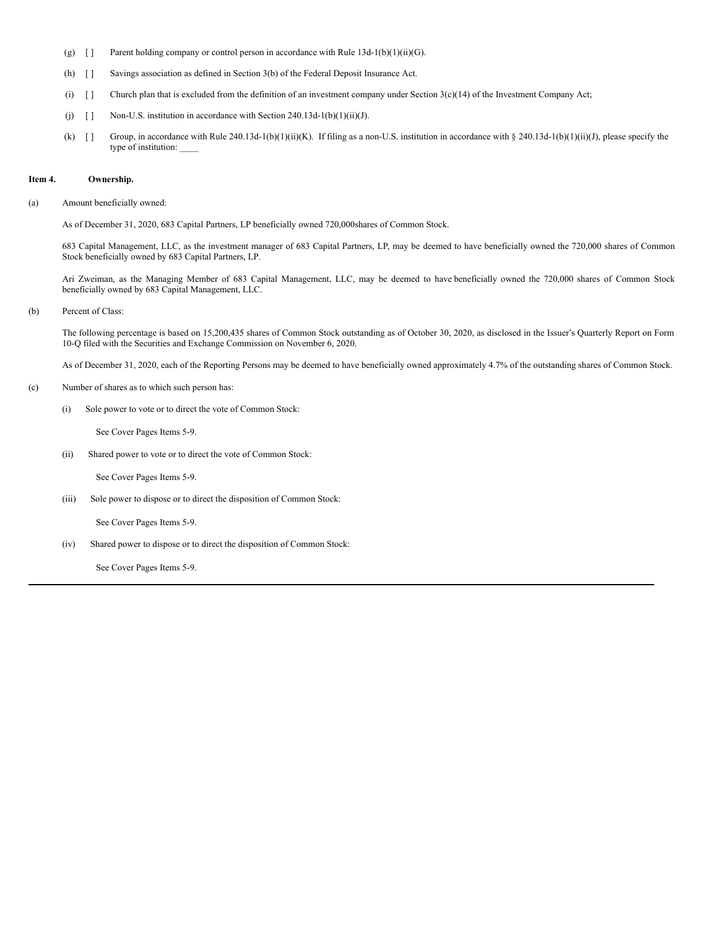- (g)  $\left[ \right]$  Parent holding company or control person in accordance with Rule 13d-1(b)(1)(ii)(G).
- (h) [ ] Savings association as defined in Section 3(b) of the Federal Deposit Insurance Act.
- (i)  $\Box$  Church plan that is excluded from the definition of an investment company under Section 3(c)(14) of the Investment Company Act;
- (j)  $[j]$  Non-U.S. institution in accordance with Section 240.13d-1(b)(1)(ii)(J).
- (k)  $[]$  Group, in accordance with Rule 240.13d-1(b)(1)(ii)(K). If filing as a non-U.S. institution in accordance with § 240.13d-1(b)(1)(ii)(J), please specify the type of institution:

### **Item 4. Ownership.**

(a) Amount beneficially owned:

As of December 31, 2020, 683 Capital Partners, LP beneficially owned 720,000shares of Common Stock.

683 Capital Management, LLC, as the investment manager of 683 Capital Partners, LP, may be deemed to have beneficially owned the 720,000 shares of Common Stock beneficially owned by 683 Capital Partners, LP.

Ari Zweiman, as the Managing Member of 683 Capital Management, LLC, may be deemed to have beneficially owned the 720,000 shares of Common Stock beneficially owned by 683 Capital Management, LLC.

(b) Percent of Class:

The following percentage is based on 15,200,435 shares of Common Stock outstanding as of October 30, 2020, as disclosed in the Issuer's Quarterly Report on Form 10-Q filed with the Securities and Exchange Commission on November 6, 2020.

As of December 31, 2020, each of the Reporting Persons may be deemed to have beneficially owned approximately 4.7% of the outstanding shares of Common Stock.

- (c) Number of shares as to which such person has:
	- (i) Sole power to vote or to direct the vote of Common Stock:

See Cover Pages Items 5-9.

(ii) Shared power to vote or to direct the vote of Common Stock:

See Cover Pages Items 5-9.

(iii) Sole power to dispose or to direct the disposition of Common Stock:

See Cover Pages Items 5-9.

(iv) Shared power to dispose or to direct the disposition of Common Stock:

See Cover Pages Items 5-9.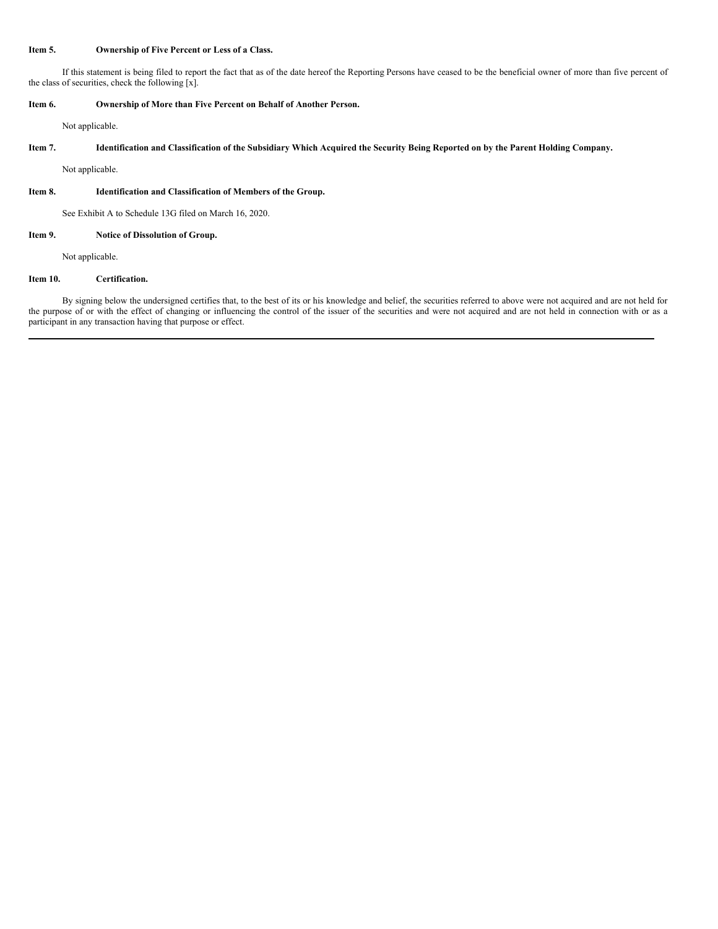## **Item 5. Ownership of Five Percent or Less of a Class.**

If this statement is being filed to report the fact that as of the date hereof the Reporting Persons have ceased to be the beneficial owner of more than five percent of the class of securities, check the following [x].

## **Item 6. Ownership of More than Five Percent on Behalf of Another Person.**

Not applicable.

## Item 7. Identification and Classification of the Subsidiary Which Acquired the Security Being Reported on by the Parent Holding Company.

Not applicable.

## **Item 8. Identification and Classification of Members of the Group.**

See Exhibit A to Schedule 13G filed on March 16, 2020.

### **Item 9. Notice of Dissolution of Group.**

Not applicable.

## **Item 10. Certification.**

By signing below the undersigned certifies that, to the best of its or his knowledge and belief, the securities referred to above were not acquired and are not held for the purpose of or with the effect of changing or influencing the control of the issuer of the securities and were not acquired and are not held in connection with or as a participant in any transaction having that purpose or effect.